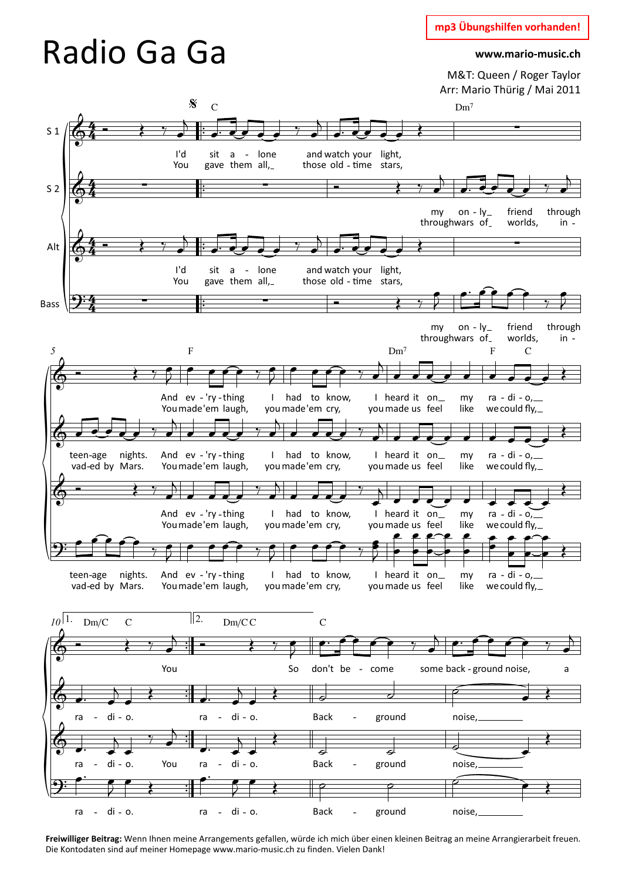M&T: Queen / Roger Taylor Arr: Mario Thürig / Mai 2011



**Freiwilliger Beitrag:** Wenn Ihnen meine Arrangements gefallen, würde ich mich über einen kleinen Beitrag an meine Arrangierarbeit freuen. Die Kontodaten sind auf meiner Homepage www.mario-music.ch zu finden. Vielen Dank!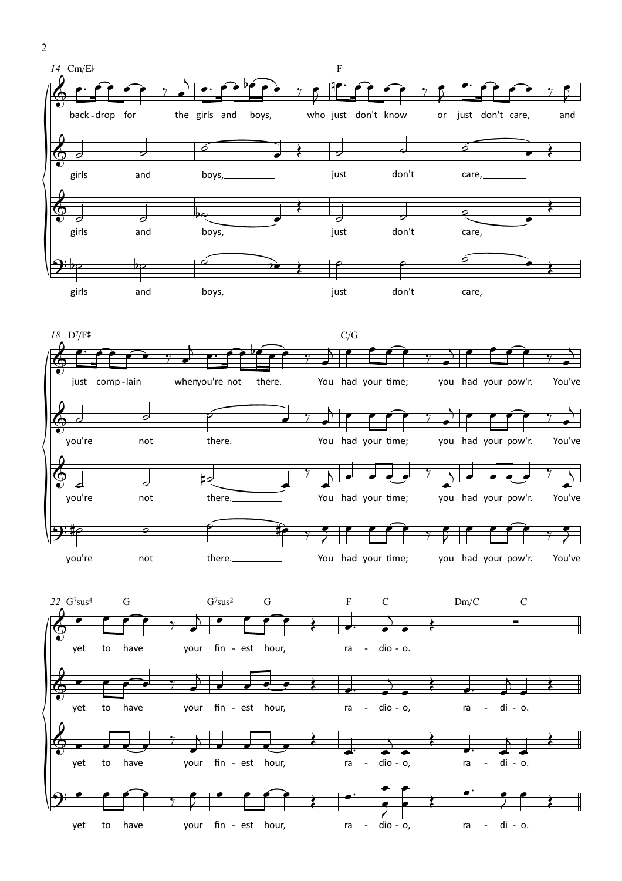

ra

 $dio - o,$ 

di - o.

ra  $\blacksquare$ 

your fin - est hour,

yet

to

have

 $\sqrt{2}$